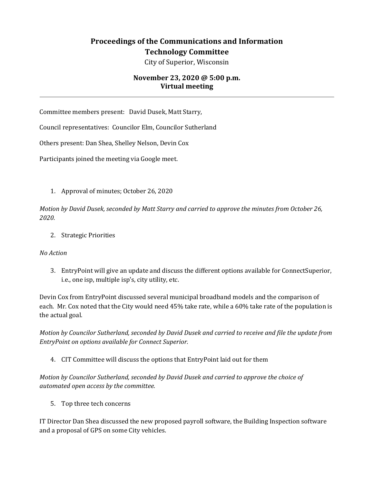## **Proceedings of the Communications and Information Technology Committee**

City of Superior, Wisconsin

## **November 23, 2020 @ 5:00 p.m. Virtual meeting**

Committee members present: David Dusek, Matt Starry,

Council representatives: Councilor Elm, Councilor Sutherland

Others present: Dan Shea, Shelley Nelson, Devin Cox

Participants joined the meeting via Google meet.

1. Approval of minutes; October 26, 2020

*Motion by David Dusek, seconded by Matt Starry and carried to approve the minutes from October 26, 2020.* 

2. Strategic Priorities

## *No Action*

3. EntryPoint will give an update and discuss the different options available for ConnectSuperior, i.e., one isp, multiple isp's, city utility, etc.

Devin Cox from EntryPoint discussed several municipal broadband models and the comparison of each. Mr. Cox noted that the City would need 45% take rate, while a 60% take rate of the population is the actual goal.

*Motion by Councilor Sutherland, seconded by David Dusek and carried to receive and file the update from EntryPoint on options available for Connect Superior.* 

4. CIT Committee will discuss the options that EntryPoint laid out for them

*Motion by Councilor Sutherland, seconded by David Dusek and carried to approve the choice of automated open access by the committee.* 

5. Top three tech concerns

IT Director Dan Shea discussed the new proposed payroll software, the Building Inspection software and a proposal of GPS on some City vehicles.